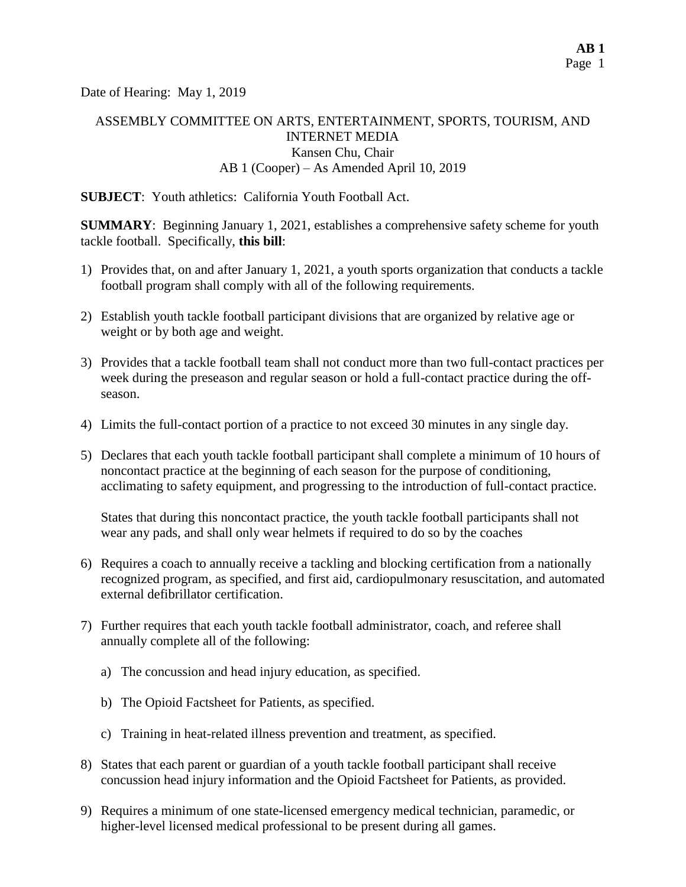Date of Hearing: May 1, 2019

## ASSEMBLY COMMITTEE ON ARTS, ENTERTAINMENT, SPORTS, TOURISM, AND INTERNET MEDIA Kansen Chu, Chair AB 1 (Cooper) – As Amended April 10, 2019

**SUBJECT**: Youth athletics: California Youth Football Act.

**SUMMARY**: Beginning January 1, 2021, establishes a comprehensive safety scheme for youth tackle football. Specifically, **this bill**:

- 1) Provides that, on and after January 1, 2021, a youth sports organization that conducts a tackle football program shall comply with all of the following requirements.
- 2) Establish youth tackle football participant divisions that are organized by relative age or weight or by both age and weight.
- 3) Provides that a tackle football team shall not conduct more than two full-contact practices per week during the preseason and regular season or hold a full-contact practice during the offseason.
- 4) Limits the full-contact portion of a practice to not exceed 30 minutes in any single day.
- 5) Declares that each youth tackle football participant shall complete a minimum of 10 hours of noncontact practice at the beginning of each season for the purpose of conditioning, acclimating to safety equipment, and progressing to the introduction of full-contact practice.

States that during this noncontact practice, the youth tackle football participants shall not wear any pads, and shall only wear helmets if required to do so by the coaches

- 6) Requires a coach to annually receive a tackling and blocking certification from a nationally recognized program, as specified, and first aid, cardiopulmonary resuscitation, and automated external defibrillator certification.
- 7) Further requires that each youth tackle football administrator, coach, and referee shall annually complete all of the following:
	- a) The concussion and head injury education, as specified.
	- b) The Opioid Factsheet for Patients, as specified.
	- c) Training in heat-related illness prevention and treatment, as specified.
- 8) States that each parent or guardian of a youth tackle football participant shall receive concussion head injury information and the Opioid Factsheet for Patients, as provided.
- 9) Requires a minimum of one state-licensed emergency medical technician, paramedic, or higher-level licensed medical professional to be present during all games.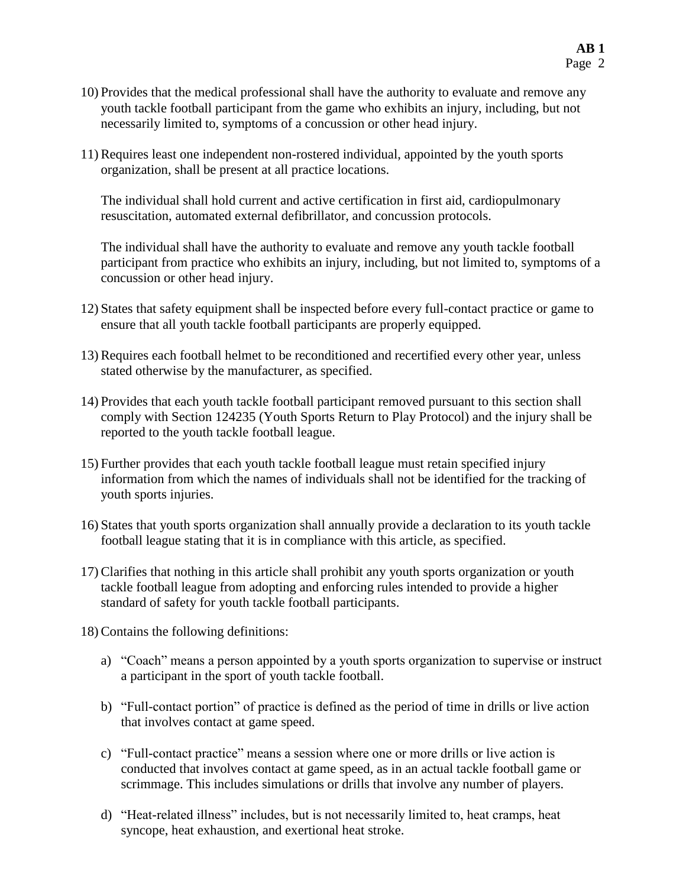- 10) Provides that the medical professional shall have the authority to evaluate and remove any youth tackle football participant from the game who exhibits an injury, including, but not necessarily limited to, symptoms of a concussion or other head injury.
- 11) Requires least one independent non-rostered individual, appointed by the youth sports organization, shall be present at all practice locations.

The individual shall hold current and active certification in first aid, cardiopulmonary resuscitation, automated external defibrillator, and concussion protocols.

The individual shall have the authority to evaluate and remove any youth tackle football participant from practice who exhibits an injury, including, but not limited to, symptoms of a concussion or other head injury.

- 12) States that safety equipment shall be inspected before every full-contact practice or game to ensure that all youth tackle football participants are properly equipped.
- 13) Requires each football helmet to be reconditioned and recertified every other year, unless stated otherwise by the manufacturer, as specified.
- 14) Provides that each youth tackle football participant removed pursuant to this section shall comply with Section 124235 (Youth Sports Return to Play Protocol) and the injury shall be reported to the youth tackle football league.
- 15) Further provides that each youth tackle football league must retain specified injury information from which the names of individuals shall not be identified for the tracking of youth sports injuries.
- 16) States that youth sports organization shall annually provide a declaration to its youth tackle football league stating that it is in compliance with this article, as specified.
- 17) Clarifies that nothing in this article shall prohibit any youth sports organization or youth tackle football league from adopting and enforcing rules intended to provide a higher standard of safety for youth tackle football participants.

18) Contains the following definitions:

- a) "Coach" means a person appointed by a youth sports organization to supervise or instruct a participant in the sport of youth tackle football.
- b) "Full-contact portion" of practice is defined as the period of time in drills or live action that involves contact at game speed.
- c) "Full-contact practice" means a session where one or more drills or live action is conducted that involves contact at game speed, as in an actual tackle football game or scrimmage. This includes simulations or drills that involve any number of players.
- d) "Heat-related illness" includes, but is not necessarily limited to, heat cramps, heat syncope, heat exhaustion, and exertional heat stroke.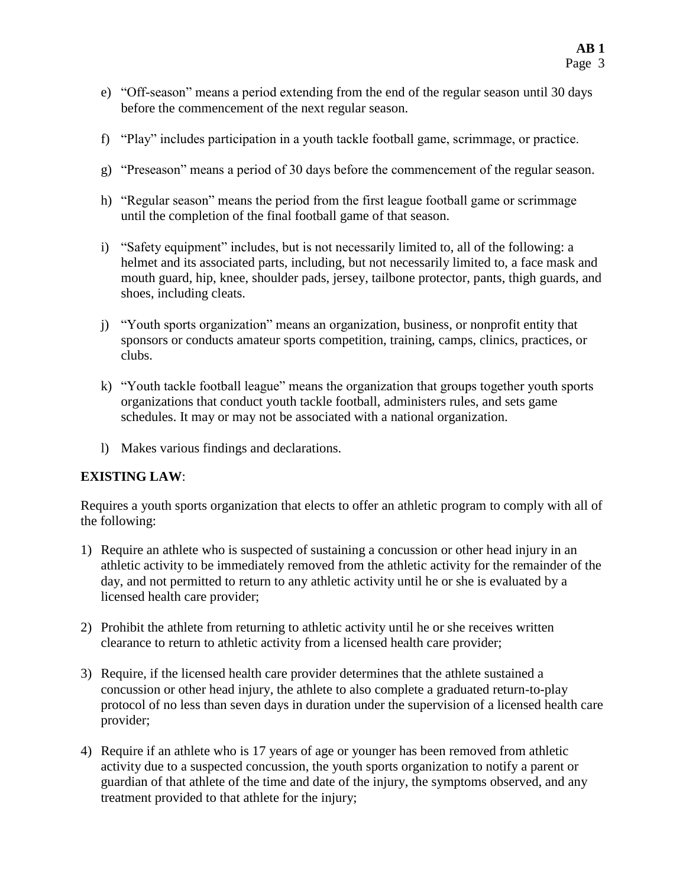- e) "Off-season" means a period extending from the end of the regular season until 30 days before the commencement of the next regular season.
- f) "Play" includes participation in a youth tackle football game, scrimmage, or practice.
- g) "Preseason" means a period of 30 days before the commencement of the regular season.
- h) "Regular season" means the period from the first league football game or scrimmage until the completion of the final football game of that season.
- i) "Safety equipment" includes, but is not necessarily limited to, all of the following: a helmet and its associated parts, including, but not necessarily limited to, a face mask and mouth guard, hip, knee, shoulder pads, jersey, tailbone protector, pants, thigh guards, and shoes, including cleats.
- j) "Youth sports organization" means an organization, business, or nonprofit entity that sponsors or conducts amateur sports competition, training, camps, clinics, practices, or clubs.
- k) "Youth tackle football league" means the organization that groups together youth sports organizations that conduct youth tackle football, administers rules, and sets game schedules. It may or may not be associated with a national organization.
- l) Makes various findings and declarations.

#### **EXISTING LAW**:

Requires a youth sports organization that elects to offer an athletic program to comply with all of the following:

- 1) Require an athlete who is suspected of sustaining a concussion or other head injury in an athletic activity to be immediately removed from the athletic activity for the remainder of the day, and not permitted to return to any athletic activity until he or she is evaluated by a licensed health care provider;
- 2) Prohibit the athlete from returning to athletic activity until he or she receives written clearance to return to athletic activity from a licensed health care provider;
- 3) Require, if the licensed health care provider determines that the athlete sustained a concussion or other head injury, the athlete to also complete a graduated return-to-play protocol of no less than seven days in duration under the supervision of a licensed health care provider;
- 4) Require if an athlete who is 17 years of age or younger has been removed from athletic activity due to a suspected concussion, the youth sports organization to notify a parent or guardian of that athlete of the time and date of the injury, the symptoms observed, and any treatment provided to that athlete for the injury;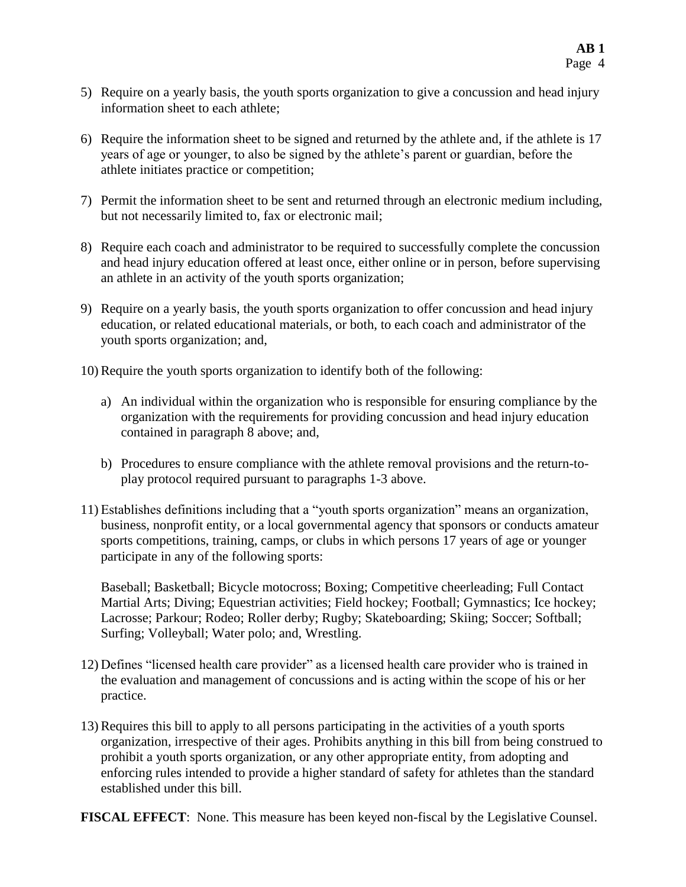- 5) Require on a yearly basis, the youth sports organization to give a concussion and head injury information sheet to each athlete;
- 6) Require the information sheet to be signed and returned by the athlete and, if the athlete is 17 years of age or younger, to also be signed by the athlete's parent or guardian, before the athlete initiates practice or competition;
- 7) Permit the information sheet to be sent and returned through an electronic medium including, but not necessarily limited to, fax or electronic mail;
- 8) Require each coach and administrator to be required to successfully complete the concussion and head injury education offered at least once, either online or in person, before supervising an athlete in an activity of the youth sports organization;
- 9) Require on a yearly basis, the youth sports organization to offer concussion and head injury education, or related educational materials, or both, to each coach and administrator of the youth sports organization; and,
- 10) Require the youth sports organization to identify both of the following:
	- a) An individual within the organization who is responsible for ensuring compliance by the organization with the requirements for providing concussion and head injury education contained in paragraph 8 above; and,
	- b) Procedures to ensure compliance with the athlete removal provisions and the return-toplay protocol required pursuant to paragraphs 1-3 above.
- 11) Establishes definitions including that a "youth sports organization" means an organization, business, nonprofit entity, or a local governmental agency that sponsors or conducts amateur sports competitions, training, camps, or clubs in which persons 17 years of age or younger participate in any of the following sports:

Baseball; Basketball; Bicycle motocross; Boxing; Competitive cheerleading; Full Contact Martial Arts; Diving; Equestrian activities; Field hockey; Football; Gymnastics; Ice hockey; Lacrosse; Parkour; Rodeo; Roller derby; Rugby; Skateboarding; Skiing; Soccer; Softball; Surfing; Volleyball; Water polo; and, Wrestling.

- 12) Defines "licensed health care provider" as a licensed health care provider who is trained in the evaluation and management of concussions and is acting within the scope of his or her practice.
- 13) Requires this bill to apply to all persons participating in the activities of a youth sports organization, irrespective of their ages. Prohibits anything in this bill from being construed to prohibit a youth sports organization, or any other appropriate entity, from adopting and enforcing rules intended to provide a higher standard of safety for athletes than the standard established under this bill.
- **FISCAL EFFECT**: None. This measure has been keyed non-fiscal by the Legislative Counsel.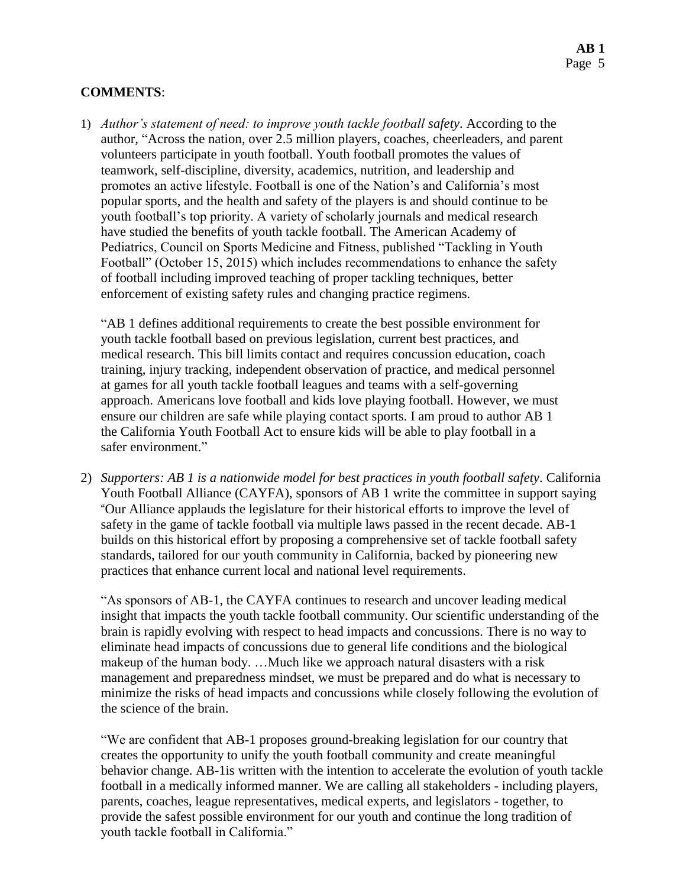#### **COMMENTS**:

1) *Author's statement of need: to improve youth tackle football safety*. According to the author, "Across the nation, over 2.5 million players, coaches, cheerleaders, and parent volunteers participate in youth football. Youth football promotes the values of teamwork, self-discipline, diversity, academics, nutrition, and leadership and promotes an active lifestyle. Football is one of the Nation's and California's most popular sports, and the health and safety of the players is and should continue to be youth football's top priority. A variety of scholarly journals and medical research have studied the benefits of youth tackle football. The American Academy of Pediatrics, Council on Sports Medicine and Fitness, published "Tackling in Youth Football" (October 15, 2015) which includes recommendations to enhance the safety of football including improved teaching of proper tackling techniques, better enforcement of existing safety rules and changing practice regimens.

"AB 1 defines additional requirements to create the best possible environment for youth tackle football based on previous legislation, current best practices, and medical research. This bill limits contact and requires concussion education, coach training, injury tracking, independent observation of practice, and medical personnel at games for all youth tackle football leagues and teams with a self-governing approach. Americans love football and kids love playing football. However, we must ensure our children are safe while playing contact sports. I am proud to author AB 1 the California Youth Football Act to ensure kids will be able to play football in a safer environment."

2) *Supporters: AB 1 is a nationwide model for best practices in youth football safety*. California Youth Football Alliance (CAYFA), sponsors of AB 1 write the committee in support saying "Our Alliance applauds the legislature for their historical efforts to improve the level of safety in the game of tackle football via multiple laws passed in the recent decade. AB-1 builds on this historical effort by proposing a comprehensive set of tackle football safety standards, tailored for our youth community in California, backed by pioneering new practices that enhance current local and national level requirements.

"As sponsors of AB-1, the CAYFA continues to research and uncover leading medical insight that impacts the youth tackle football community. Our scientific understanding of the brain is rapidly evolving with respect to head impacts and concussions. There is no way to eliminate head impacts of concussions due to general life conditions and the biological makeup of the human body. …Much like we approach natural disasters with a risk management and preparedness mindset, we must be prepared and do what is necessary to minimize the risks of head impacts and concussions while closely following the evolution of the science of the brain.

"We are confident that AB-1 proposes ground-breaking legislation for our country that creates the opportunity to unify the youth football community and create meaningful behavior change. AB-1is written with the intention to accelerate the evolution of youth tackle football in a medically informed manner. We are calling all stakeholders - including players, parents, coaches, league representatives, medical experts, and legislators - together, to provide the safest possible environment for our youth and continue the long tradition of youth tackle football in California."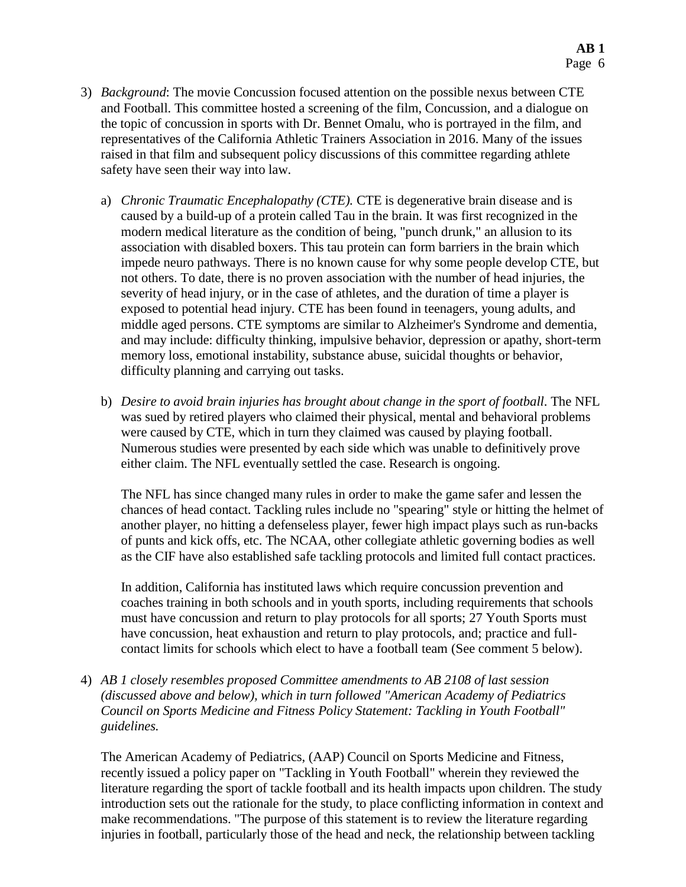- 3) *Background*: The movie Concussion focused attention on the possible nexus between CTE and Football. This committee hosted a screening of the film, Concussion, and a dialogue on the topic of concussion in sports with Dr. Bennet Omalu, who is portrayed in the film, and representatives of the California Athletic Trainers Association in 2016. Many of the issues raised in that film and subsequent policy discussions of this committee regarding athlete safety have seen their way into law.
	- a) *Chronic Traumatic Encephalopathy (CTE).* CTE is degenerative brain disease and is caused by a build-up of a protein called Tau in the brain. It was first recognized in the modern medical literature as the condition of being, "punch drunk," an allusion to its association with disabled boxers. This tau protein can form barriers in the brain which impede neuro pathways. There is no known cause for why some people develop CTE, but not others. To date, there is no proven association with the number of head injuries, the severity of head injury, or in the case of athletes, and the duration of time a player is exposed to potential head injury. CTE has been found in teenagers, young adults, and middle aged persons. CTE symptoms are similar to Alzheimer's Syndrome and dementia, and may include: difficulty thinking, impulsive behavior, depression or apathy, short-term memory loss, emotional instability, substance abuse, suicidal thoughts or behavior, difficulty planning and carrying out tasks.
	- b) *Desire to avoid brain injuries has brought about change in the sport of football*. The NFL was sued by retired players who claimed their physical, mental and behavioral problems were caused by CTE, which in turn they claimed was caused by playing football. Numerous studies were presented by each side which was unable to definitively prove either claim. The NFL eventually settled the case. Research is ongoing.

The NFL has since changed many rules in order to make the game safer and lessen the chances of head contact. Tackling rules include no "spearing" style or hitting the helmet of another player, no hitting a defenseless player, fewer high impact plays such as run-backs of punts and kick offs, etc. The NCAA, other collegiate athletic governing bodies as well as the CIF have also established safe tackling protocols and limited full contact practices.

In addition, California has instituted laws which require concussion prevention and coaches training in both schools and in youth sports, including requirements that schools must have concussion and return to play protocols for all sports; 27 Youth Sports must have concussion, heat exhaustion and return to play protocols, and; practice and fullcontact limits for schools which elect to have a football team (See comment 5 below).

4) *AB 1 closely resembles proposed Committee amendments to AB 2108 of last session (discussed above and below), which in turn followed "American Academy of Pediatrics Council on Sports Medicine and Fitness Policy Statement: Tackling in Youth Football" guidelines.*

The American Academy of Pediatrics, (AAP) Council on Sports Medicine and Fitness, recently issued a policy paper on "Tackling in Youth Football" wherein they reviewed the literature regarding the sport of tackle football and its health impacts upon children. The study introduction sets out the rationale for the study, to place conflicting information in context and make recommendations. "The purpose of this statement is to review the literature regarding injuries in football, particularly those of the head and neck, the relationship between tackling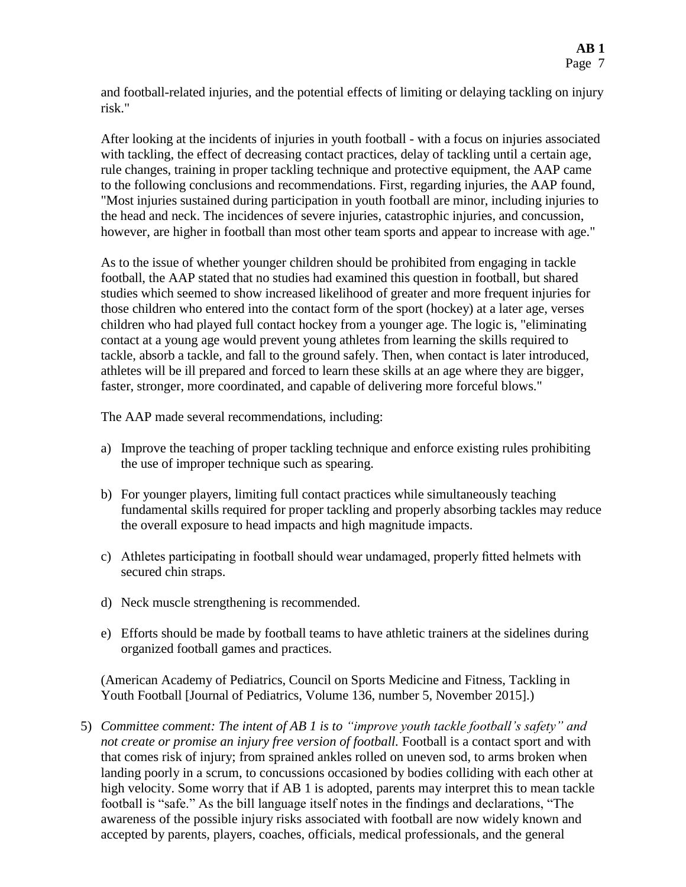and football-related injuries, and the potential effects of limiting or delaying tackling on injury risk."

After looking at the incidents of injuries in youth football - with a focus on injuries associated with tackling, the effect of decreasing contact practices, delay of tackling until a certain age, rule changes, training in proper tackling technique and protective equipment, the AAP came to the following conclusions and recommendations. First, regarding injuries, the AAP found, "Most injuries sustained during participation in youth football are minor, including injuries to the head and neck. The incidences of severe injuries, catastrophic injuries, and concussion, however, are higher in football than most other team sports and appear to increase with age."

As to the issue of whether younger children should be prohibited from engaging in tackle football, the AAP stated that no studies had examined this question in football, but shared studies which seemed to show increased likelihood of greater and more frequent injuries for those children who entered into the contact form of the sport (hockey) at a later age, verses children who had played full contact hockey from a younger age. The logic is, "eliminating contact at a young age would prevent young athletes from learning the skills required to tackle, absorb a tackle, and fall to the ground safely. Then, when contact is later introduced, athletes will be ill prepared and forced to learn these skills at an age where they are bigger, faster, stronger, more coordinated, and capable of delivering more forceful blows."

The AAP made several recommendations, including:

- a) Improve the teaching of proper tackling technique and enforce existing rules prohibiting the use of improper technique such as spearing.
- b) For younger players, limiting full contact practices while simultaneously teaching fundamental skills required for proper tackling and properly absorbing tackles may reduce the overall exposure to head impacts and high magnitude impacts.
- c) Athletes participating in football should wear undamaged, properly fitted helmets with secured chin straps.
- d) Neck muscle strengthening is recommended.
- e) Efforts should be made by football teams to have athletic trainers at the sidelines during organized football games and practices.

(American Academy of Pediatrics, Council on Sports Medicine and Fitness, Tackling in Youth Football [Journal of Pediatrics, Volume 136, number 5, November 2015].)

5) *Committee comment: The intent of AB 1 is to "improve youth tackle football's safety" and not create or promise an injury free version of football.* Football is a contact sport and with that comes risk of injury; from sprained ankles rolled on uneven sod, to arms broken when landing poorly in a scrum, to concussions occasioned by bodies colliding with each other at high velocity. Some worry that if AB 1 is adopted, parents may interpret this to mean tackle football is "safe." As the bill language itself notes in the findings and declarations, "The awareness of the possible injury risks associated with football are now widely known and accepted by parents, players, coaches, officials, medical professionals, and the general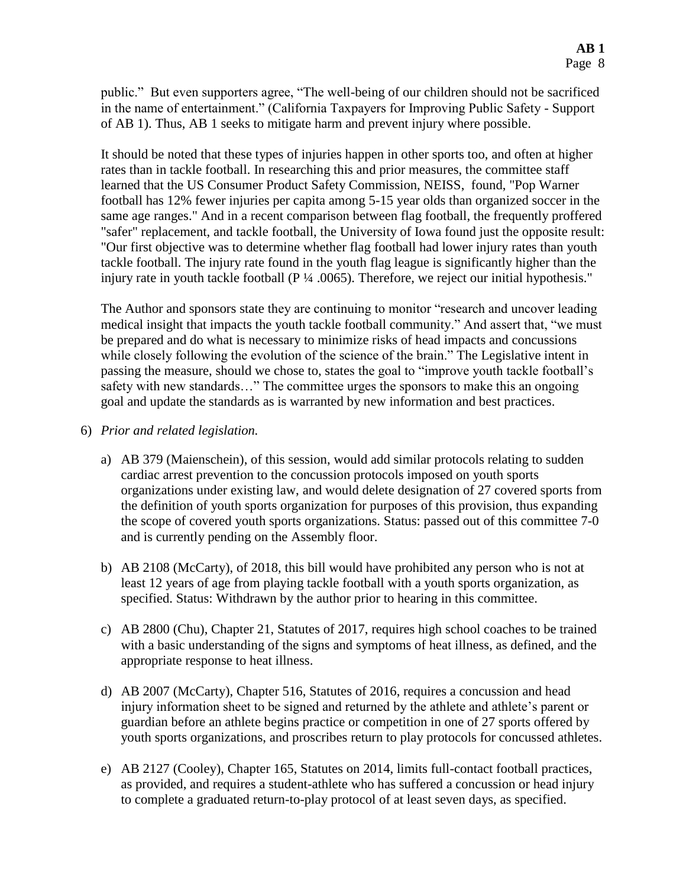public." But even supporters agree, "The well-being of our children should not be sacrificed in the name of entertainment." (California Taxpayers for Improving Public Safety - Support of AB 1). Thus, AB 1 seeks to mitigate harm and prevent injury where possible.

It should be noted that these types of injuries happen in other sports too, and often at higher rates than in tackle football. In researching this and prior measures, the committee staff learned that the US Consumer Product Safety Commission, NEISS, found, "Pop Warner football has 12% fewer injuries per capita among 5-15 year olds than organized soccer in the same age ranges." And in a recent comparison between flag football, the frequently proffered "safer" replacement, and tackle football, the University of Iowa found just the opposite result: "Our first objective was to determine whether flag football had lower injury rates than youth tackle football. The injury rate found in the youth flag league is significantly higher than the injury rate in youth tackle football (P ¼ .0065). Therefore, we reject our initial hypothesis."

The Author and sponsors state they are continuing to monitor "research and uncover leading medical insight that impacts the youth tackle football community." And assert that, "we must be prepared and do what is necessary to minimize risks of head impacts and concussions while closely following the evolution of the science of the brain." The Legislative intent in passing the measure, should we chose to, states the goal to "improve youth tackle football's safety with new standards…" The committee urges the sponsors to make this an ongoing goal and update the standards as is warranted by new information and best practices.

- 6) *Prior and related legislation.*
	- a) AB 379 (Maienschein), of this session, would add similar protocols relating to sudden cardiac arrest prevention to the concussion protocols imposed on youth sports organizations under existing law, and would delete designation of 27 covered sports from the definition of youth sports organization for purposes of this provision, thus expanding the scope of covered youth sports organizations. Status: passed out of this committee 7-0 and is currently pending on the Assembly floor.
	- b) AB 2108 (McCarty), of 2018, this bill would have prohibited any person who is not at least 12 years of age from playing tackle football with a youth sports organization, as specified. Status: Withdrawn by the author prior to hearing in this committee.
	- c) AB 2800 (Chu), Chapter 21, Statutes of 2017, requires high school coaches to be trained with a basic understanding of the signs and symptoms of heat illness, as defined, and the appropriate response to heat illness.
	- d) AB 2007 (McCarty), Chapter 516, Statutes of 2016, requires a concussion and head injury information sheet to be signed and returned by the athlete and athlete's parent or guardian before an athlete begins practice or competition in one of 27 sports offered by youth sports organizations, and proscribes return to play protocols for concussed athletes.
	- e) AB 2127 (Cooley), Chapter 165, Statutes on 2014, limits full-contact football practices, as provided, and requires a student-athlete who has suffered a concussion or head injury to complete a graduated return-to-play protocol of at least seven days, as specified.